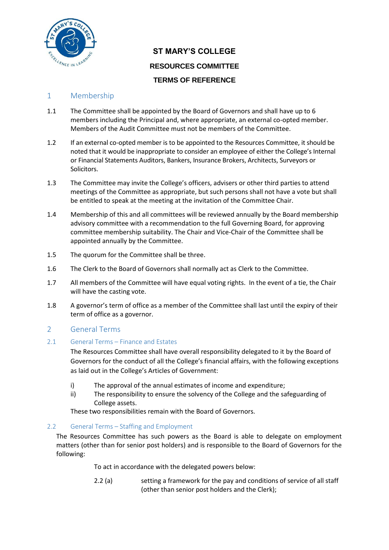

# **ST MARY'S COLLEGE RESOURCES COMMITTEE TERMS OF REFERENCE**

## 1 Membership

- 1.1 The Committee shall be appointed by the Board of Governors and shall have up to 6 members including the Principal and, where appropriate, an external co-opted member. Members of the Audit Committee must not be members of the Committee.
- 1.2 If an external co-opted member is to be appointed to the Resources Committee, it should be noted that it would be inappropriate to consider an employee of either the College's Internal or Financial Statements Auditors, Bankers, Insurance Brokers, Architects, Surveyors or Solicitors.
- 1.3 The Committee may invite the College's officers, advisers or other third parties to attend meetings of the Committee as appropriate, but such persons shall not have a vote but shall be entitled to speak at the meeting at the invitation of the Committee Chair.
- 1.4 Membership of this and all committees will be reviewed annually by the Board membership advisory committee with a recommendation to the full Governing Board, for approving committee membership suitability. The Chair and Vice-Chair of the Committee shall be appointed annually by the Committee.
- 1.5 The quorum for the Committee shall be three.
- 1.6 The Clerk to the Board of Governors shall normally act as Clerk to the Committee.
- 1.7 All members of the Committee will have equal voting rights. In the event of a tie, the Chair will have the casting vote.
- 1.8 A governor's term of office as a member of the Committee shall last until the expiry of their term of office as a governor.

## 2 General Terms

## 2.1 General Terms – Finance and Estates

The Resources Committee shall have overall responsibility delegated to it by the Board of Governors for the conduct of all the College's financial affairs, with the following exceptions as laid out in the College's Articles of Government:

- i) The approval of the annual estimates of income and expenditure;
- ii) The responsibility to ensure the solvency of the College and the safeguarding of College assets.

These two responsibilities remain with the Board of Governors.

## 2.2 General Terms – Staffing and Employment

The Resources Committee has such powers as the Board is able to delegate on employment matters (other than for senior post holders) and is responsible to the Board of Governors for the following:

To act in accordance with the delegated powers below:

2.2 (a) setting a framework for the pay and conditions of service of all staff (other than senior post holders and the Clerk);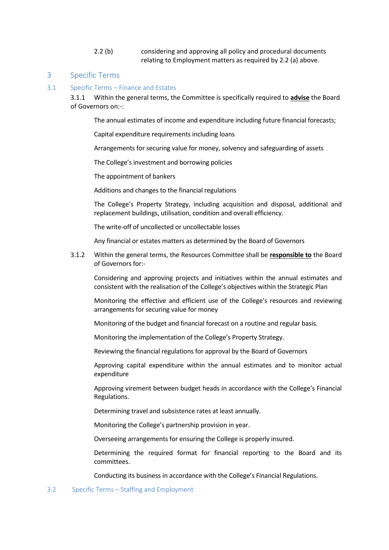2.2 (b) considering and approving all policy and procedural documents relating to Employment matters as required by 2.2 (a) above.

### 3 Specific Terms

#### 3.1 Specific Terms – Finance and Estates

3.1.1 Within the general terms, the Committee is specifically required to **advise** the Board of Governors on:-:

The annual estimates of income and expenditure including future financial forecasts;

Capital expenditure requirements including loans

Arrangements for securing value for money, solvency and safeguarding of assets

The College's investment and borrowing policies

The appointment of bankers

Additions and changes to the financial regulations

The College's Property Strategy, including acquisition and disposal, additional and replacement buildings, utilisation, condition and overall efficiency.

The write-off of uncollected or uncollectable losses

Any financial or estates matters as determined by the Board of Governors

3.1.2 Within the general terms, the Resources Committee shall be **responsible to** the Board of Governors for:-

Considering and approving projects and initiatives within the annual estimates and consistent with the realisation of the College's objectives within the Strategic Plan

Monitoring the effective and efficient use of the College's resources and reviewing arrangements for securing value for money

Monitoring of the budget and financial forecast on a routine and regular basis.

Monitoring the implementation of the College's Property Strategy.

Reviewing the financial regulations for approval by the Board of Governors

Approving capital expenditure within the annual estimates and to monitor actual expenditure

Approving virement between budget heads in accordance with the College's Financial Regulations.

Determining travel and subsistence rates at least annually.

Monitoring the College's partnership provision in year.

Overseeing arrangements for ensuring the College is properly insured.

Determining the required format for financial reporting to the Board and its committees.

Conducting its business in accordance with the College's Financial Regulations.

#### 3.2 Specific Terms – Staffing and Employment